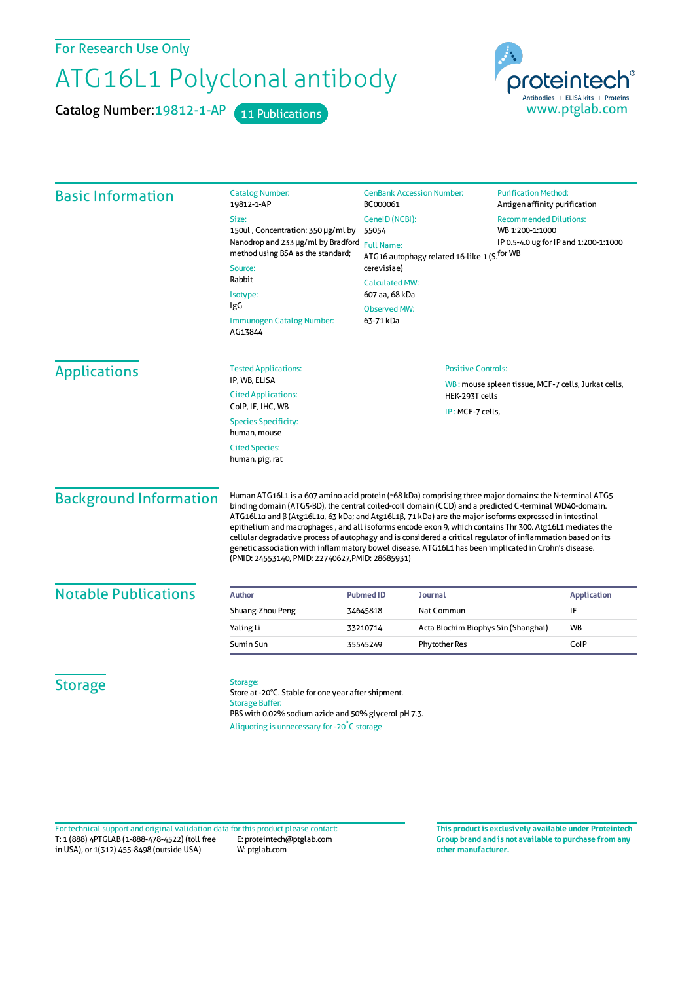For Research Use Only

## ATG16L1 Polyclonal antibody

Catalog Number: 19812-1-AP 11 Publications



| <b>Basic Information</b>      | <b>Catalog Number:</b><br>19812-1-AP                                                                                                                                                                                                                                                                                                                                                                                                                                                                                                                                                                                                                                                                                               | <b>GenBank Accession Number:</b><br>BC000061                                                                      |                                                                                  | <b>Purification Method:</b><br>Antigen affinity purification                              |                    |
|-------------------------------|------------------------------------------------------------------------------------------------------------------------------------------------------------------------------------------------------------------------------------------------------------------------------------------------------------------------------------------------------------------------------------------------------------------------------------------------------------------------------------------------------------------------------------------------------------------------------------------------------------------------------------------------------------------------------------------------------------------------------------|-------------------------------------------------------------------------------------------------------------------|----------------------------------------------------------------------------------|-------------------------------------------------------------------------------------------|--------------------|
|                               | Size:                                                                                                                                                                                                                                                                                                                                                                                                                                                                                                                                                                                                                                                                                                                              | GenelD (NCBI):<br>55054<br><b>Full Name:</b>                                                                      |                                                                                  | <b>Recommended Dilutions:</b><br>WB 1:200-1:1000<br>IP 0.5-4.0 ug for IP and 1:200-1:1000 |                    |
|                               | 150ul, Concentration: 350 µg/ml by<br>Nanodrop and 233 µg/ml by Bradford<br>method using BSA as the standard;                                                                                                                                                                                                                                                                                                                                                                                                                                                                                                                                                                                                                      |                                                                                                                   |                                                                                  |                                                                                           |                    |
|                               |                                                                                                                                                                                                                                                                                                                                                                                                                                                                                                                                                                                                                                                                                                                                    |                                                                                                                   |                                                                                  |                                                                                           |                    |
|                               | Source:                                                                                                                                                                                                                                                                                                                                                                                                                                                                                                                                                                                                                                                                                                                            | ATG16 autophagy related 16-like 1 (S. <sup>for WB</sup><br>cerevisiae)<br><b>Calculated MW:</b><br>607 aa, 68 kDa |                                                                                  |                                                                                           |                    |
|                               | Rabbit                                                                                                                                                                                                                                                                                                                                                                                                                                                                                                                                                                                                                                                                                                                             |                                                                                                                   |                                                                                  |                                                                                           |                    |
|                               | Isotype:                                                                                                                                                                                                                                                                                                                                                                                                                                                                                                                                                                                                                                                                                                                           |                                                                                                                   |                                                                                  |                                                                                           |                    |
|                               | IgG                                                                                                                                                                                                                                                                                                                                                                                                                                                                                                                                                                                                                                                                                                                                | <b>Observed MW:</b>                                                                                               |                                                                                  |                                                                                           |                    |
|                               | Immunogen Catalog Number:<br>AG13844                                                                                                                                                                                                                                                                                                                                                                                                                                                                                                                                                                                                                                                                                               | 63-71 kDa                                                                                                         |                                                                                  |                                                                                           |                    |
| <b>Applications</b>           | <b>Tested Applications:</b>                                                                                                                                                                                                                                                                                                                                                                                                                                                                                                                                                                                                                                                                                                        |                                                                                                                   | <b>Positive Controls:</b><br>WB: mouse spleen tissue, MCF-7 cells, Jurkat cells, |                                                                                           |                    |
|                               | IP, WB, ELISA                                                                                                                                                                                                                                                                                                                                                                                                                                                                                                                                                                                                                                                                                                                      |                                                                                                                   |                                                                                  |                                                                                           |                    |
|                               | <b>Cited Applications:</b><br>ColP, IF, IHC, WB                                                                                                                                                                                                                                                                                                                                                                                                                                                                                                                                                                                                                                                                                    | HEK-293T cells<br>IP: MCF-7 cells,                                                                                |                                                                                  |                                                                                           |                    |
|                               | <b>Species Specificity:</b>                                                                                                                                                                                                                                                                                                                                                                                                                                                                                                                                                                                                                                                                                                        |                                                                                                                   |                                                                                  |                                                                                           |                    |
|                               | human, mouse                                                                                                                                                                                                                                                                                                                                                                                                                                                                                                                                                                                                                                                                                                                       |                                                                                                                   |                                                                                  |                                                                                           |                    |
|                               | <b>Cited Species:</b>                                                                                                                                                                                                                                                                                                                                                                                                                                                                                                                                                                                                                                                                                                              |                                                                                                                   |                                                                                  |                                                                                           |                    |
|                               | human, pig, rat                                                                                                                                                                                                                                                                                                                                                                                                                                                                                                                                                                                                                                                                                                                    |                                                                                                                   |                                                                                  |                                                                                           |                    |
| <b>Background Information</b> | Human ATG16L1 is a 607 amino acid protein (~68 kDa) comprising three major domains: the N-terminal ATG5<br>binding domain (ATG5-BD), the central coiled-coil domain (CCD) and a predicted C-terminal WD40-domain.<br>ATG16L1a and $\beta$ (Atg16L1a, 63 kDa; and Atg16L1 $\beta$ , 71 kDa) are the major isoforms expressed in intestinal<br>epithelium and macrophages, and all isoforms encode exon 9, which contains Thr 300. Atg16L1 mediates the<br>cellular degradative process of autophagy and is considered a critical regulator of inflammation based on its<br>genetic association with inflammatory bowel disease. ATG16L1 has been implicated in Crohn's disease.<br>(PMID: 24553140, PMID: 22740627, PMID: 28685931) |                                                                                                                   |                                                                                  |                                                                                           |                    |
|                               |                                                                                                                                                                                                                                                                                                                                                                                                                                                                                                                                                                                                                                                                                                                                    |                                                                                                                   |                                                                                  |                                                                                           |                    |
| <b>Notable Publications</b>   | <b>Author</b>                                                                                                                                                                                                                                                                                                                                                                                                                                                                                                                                                                                                                                                                                                                      | <b>Pubmed ID</b><br>Journal                                                                                       |                                                                                  |                                                                                           | <b>Application</b> |
|                               | Shuang-Zhou Peng                                                                                                                                                                                                                                                                                                                                                                                                                                                                                                                                                                                                                                                                                                                   | Nat Commun<br>34645818                                                                                            |                                                                                  |                                                                                           | IF                 |
|                               | Yaling Li                                                                                                                                                                                                                                                                                                                                                                                                                                                                                                                                                                                                                                                                                                                          | 33210714                                                                                                          | Acta Biochim Biophys Sin (Shanghai)                                              |                                                                                           | WB                 |
|                               | Sumin Sun                                                                                                                                                                                                                                                                                                                                                                                                                                                                                                                                                                                                                                                                                                                          | <b>Phytother Res</b><br>35545249                                                                                  |                                                                                  |                                                                                           | ColP               |

T: 1 (888) 4PTGLAB (1-888-478-4522) (toll free in USA), or 1(312) 455-8498 (outside USA) E: proteintech@ptglab.com W: ptglab.com Fortechnical support and original validation data forthis product please contact: **This productis exclusively available under Proteintech**

**Group brand and is not available to purchase from any other manufacturer.**